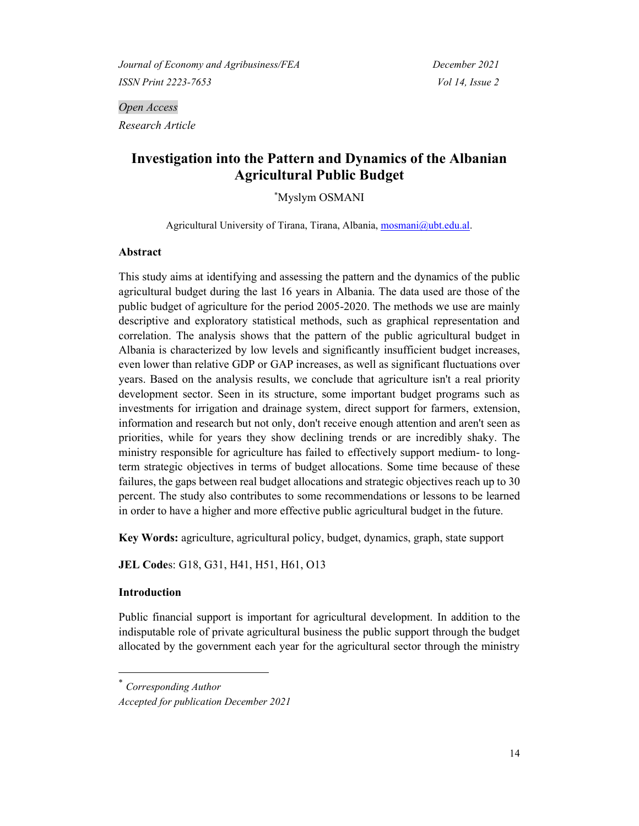*Open Access Research Article*

# **Investigation into the Pattern and Dynamics of the Albanian Agricultural Public Budget**

\*Myslym OSMANI

Agricultural University of Tirana, Tirana, Albania, [mosmani@ubt.edu.al.](mailto:mosmani@ubt.edu.al)

# **Abstract**

This study aims at identifying and assessing the pattern and the dynamics of the public agricultural budget during the last 16 years in Albania. The data used are those of the public budget of agriculture for the period 2005-2020. The methods we use are mainly descriptive and exploratory statistical methods, such as graphical representation and correlation. The analysis shows that the pattern of the public agricultural budget in Albania is characterized by low levels and significantly insufficient budget increases, even lower than relative GDP or GAP increases, as well as significant fluctuations over years. Based on the analysis results, we conclude that agriculture isn't a real priority development sector. Seen in its structure, some important budget programs such as investments for irrigation and drainage system, direct support for farmers, extension, information and research but not only, don't receive enough attention and aren't seen as priorities, while for years they show declining trends or are incredibly shaky. The ministry responsible for agriculture has failed to effectively support medium- to longterm strategic objectives in terms of budget allocations. Some time because of these failures, the gaps between real budget allocations and strategic objectives reach up to 30 percent. The study also contributes to some recommendations or lessons to be learned in order to have a higher and more effective public agricultural budget in the future.

**Key Words:** agriculture, agricultural policy, budget, dynamics, graph, state support

**JEL Code**s: G18, G31, H41, H51, H61, O13

#### **Introduction**

Public financial support is important for agricultural development. In addition to the indisputable role of private agricultural business the public support through the budget allocated by the government each year for the agricultural sector through the ministry

<sup>\*</sup> *Corresponding Author*

*Accepted for publication December 2021*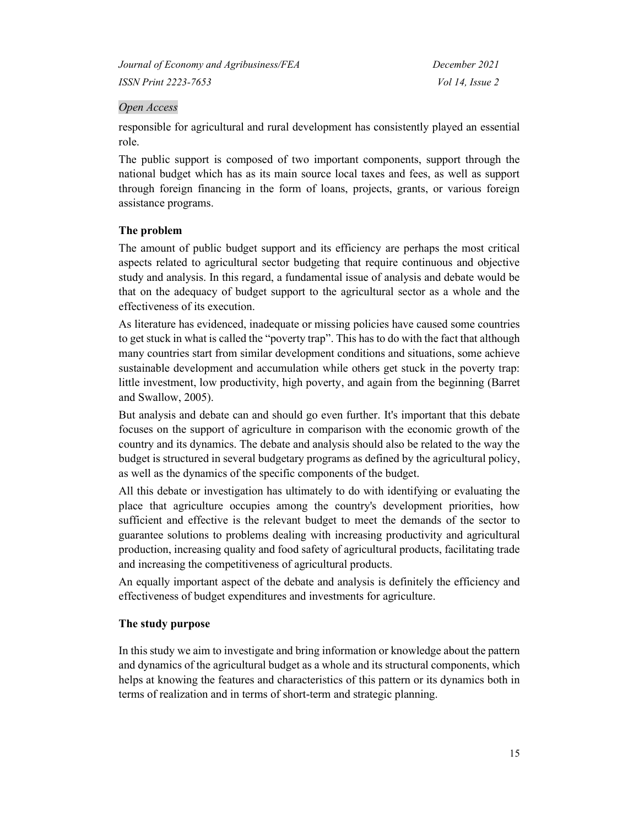# *Open Access*

responsible for agricultural and rural development has consistently played an essential role.

The public support is composed of two important components, support through the national budget which has as its main source local taxes and fees, as well as support through foreign financing in the form of loans, projects, grants, or various foreign assistance programs.

# **The problem**

The amount of public budget support and its efficiency are perhaps the most critical aspects related to agricultural sector budgeting that require continuous and objective study and analysis. In this regard, a fundamental issue of analysis and debate would be that on the adequacy of budget support to the agricultural sector as a whole and the effectiveness of its execution.

As literature has evidenced, inadequate or missing policies have caused some countries to get stuck in what is called the "poverty trap". This has to do with the fact that although many countries start from similar development conditions and situations, some achieve sustainable development and accumulation while others get stuck in the poverty trap: little investment, low productivity, high poverty, and again from the beginning (Barret and Swallow, 2005).

But analysis and debate can and should go even further. It's important that this debate focuses on the support of agriculture in comparison with the economic growth of the country and its dynamics. The debate and analysis should also be related to the way the budget is structured in several budgetary programs as defined by the agricultural policy, as well as the dynamics of the specific components of the budget.

All this debate or investigation has ultimately to do with identifying or evaluating the place that agriculture occupies among the country's development priorities, how sufficient and effective is the relevant budget to meet the demands of the sector to guarantee solutions to problems dealing with increasing productivity and agricultural production, increasing quality and food safety of agricultural products, facilitating trade and increasing the competitiveness of agricultural products.

An equally important aspect of the debate and analysis is definitely the efficiency and effectiveness of budget expenditures and investments for agriculture.

# **The study purpose**

In this study we aim to investigate and bring information or knowledge about the pattern and dynamics of the agricultural budget as a whole and its structural components, which helps at knowing the features and characteristics of this pattern or its dynamics both in terms of realization and in terms of short-term and strategic planning.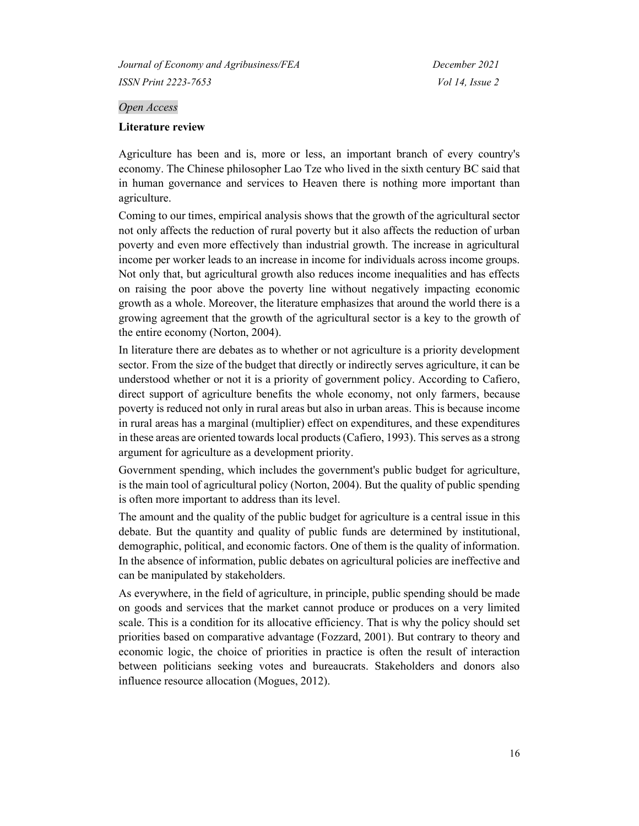#### *Open Access*

#### **Literature review**

Agriculture has been and is, more or less, an important branch of every country's economy. The Chinese philosopher Lao Tze who lived in the sixth century BC said that in human governance and services to Heaven there is nothing more important than agriculture.

Coming to our times, empirical analysis shows that the growth of the agricultural sector not only affects the reduction of rural poverty but it also affects the reduction of urban poverty and even more effectively than industrial growth. The increase in agricultural income per worker leads to an increase in income for individuals across income groups. Not only that, but agricultural growth also reduces income inequalities and has effects on raising the poor above the poverty line without negatively impacting economic growth as a whole. Moreover, the literature emphasizes that around the world there is a growing agreement that the growth of the agricultural sector is a key to the growth of the entire economy (Norton, 2004).

In literature there are debates as to whether or not agriculture is a priority development sector. From the size of the budget that directly or indirectly serves agriculture, it can be understood whether or not it is a priority of government policy. According to Cafiero, direct support of agriculture benefits the whole economy, not only farmers, because poverty is reduced not only in rural areas but also in urban areas. This is because income in rural areas has a marginal (multiplier) effect on expenditures, and these expenditures in these areas are oriented towards local products (Cafiero, 1993). This serves as a strong argument for agriculture as a development priority.

Government spending, which includes the government's public budget for agriculture, is the main tool of agricultural policy (Norton, 2004). But the quality of public spending is often more important to address than its level.

The amount and the quality of the public budget for agriculture is a central issue in this debate. But the quantity and quality of public funds are determined by institutional, demographic, political, and economic factors. One of them is the quality of information. In the absence of information, public debates on agricultural policies are ineffective and can be manipulated by stakeholders.

As everywhere, in the field of agriculture, in principle, public spending should be made on goods and services that the market cannot produce or produces on a very limited scale. This is a condition for its allocative efficiency. That is why the policy should set priorities based on comparative advantage (Fozzard, 2001). But contrary to theory and economic logic, the choice of priorities in practice is often the result of interaction between politicians seeking votes and bureaucrats. Stakeholders and donors also influence resource allocation (Mogues, 2012).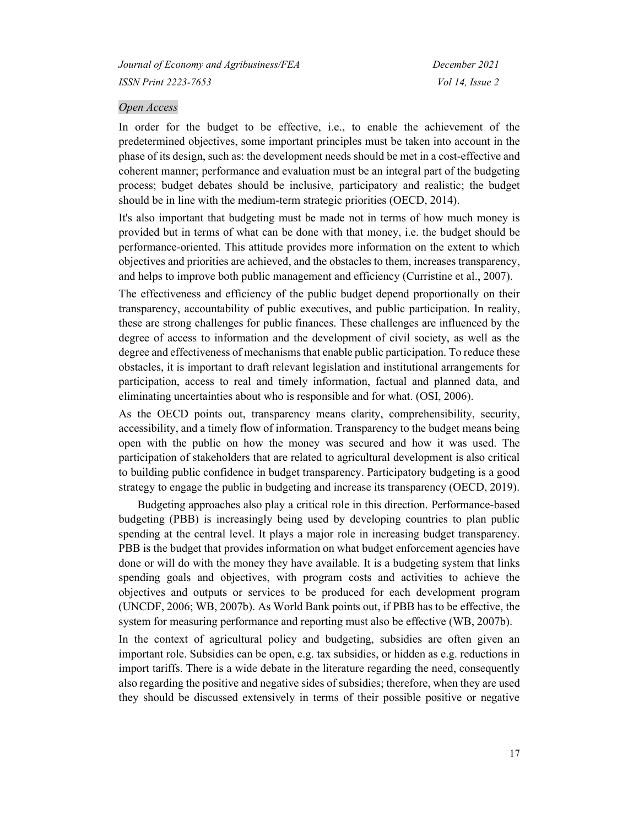#### *Open Access*

In order for the budget to be effective, i.e., to enable the achievement of the predetermined objectives, some important principles must be taken into account in the phase of its design, such as: the development needs should be met in a cost-effective and coherent manner; performance and evaluation must be an integral part of the budgeting process; budget debates should be inclusive, participatory and realistic; the budget should be in line with the medium-term strategic priorities (OECD, 2014).

It's also important that budgeting must be made not in terms of how much money is provided but in terms of what can be done with that money, i.e. the budget should be performance-oriented. This attitude provides more information on the extent to which objectives and priorities are achieved, and the obstacles to them, increases transparency, and helps to improve both public management and efficiency (Curristine et al., 2007).

The effectiveness and efficiency of the public budget depend proportionally on their transparency, accountability of public executives, and public participation. In reality, these are strong challenges for public finances. These challenges are influenced by the degree of access to information and the development of civil society, as well as the degree and effectiveness of mechanisms that enable public participation. To reduce these obstacles, it is important to draft relevant legislation and institutional arrangements for participation, access to real and timely information, factual and planned data, and eliminating uncertainties about who is responsible and for what. (OSI, 2006).

As the OECD points out, transparency means clarity, comprehensibility, security, accessibility, and a timely flow of information. Transparency to the budget means being open with the public on how the money was secured and how it was used. The participation of stakeholders that are related to agricultural development is also critical to building public confidence in budget transparency. Participatory budgeting is a good strategy to engage the public in budgeting and increase its transparency (OECD, 2019).

Budgeting approaches also play a critical role in this direction. Performance-based budgeting (PBB) is increasingly being used by developing countries to plan public spending at the central level. It plays a major role in increasing budget transparency. PBB is the budget that provides information on what budget enforcement agencies have done or will do with the money they have available. It is a budgeting system that links spending goals and objectives, with program costs and activities to achieve the objectives and outputs or services to be produced for each development program (UNCDF, 2006; WB, 2007b). As World Bank points out, if PBB has to be effective, the system for measuring performance and reporting must also be effective (WB, 2007b).

In the context of agricultural policy and budgeting, subsidies are often given an important role. Subsidies can be open, e.g. tax subsidies, or hidden as e.g. reductions in import tariffs. There is a wide debate in the literature regarding the need, consequently also regarding the positive and negative sides of subsidies; therefore, when they are used they should be discussed extensively in terms of their possible positive or negative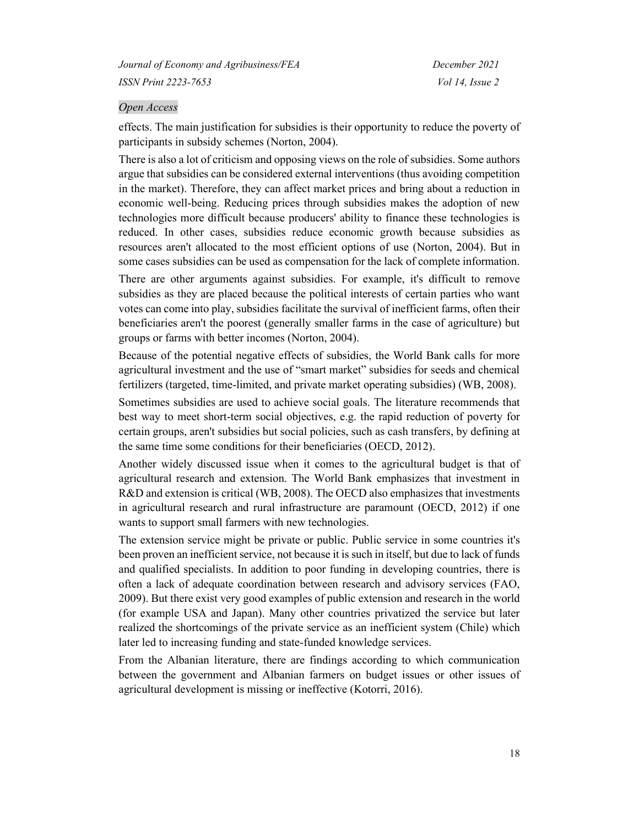#### *Open Access*

effects. The main justification for subsidies is their opportunity to reduce the poverty of participants in subsidy schemes (Norton, 2004).

There is also a lot of criticism and opposing views on the role of subsidies. Some authors argue that subsidies can be considered external interventions (thus avoiding competition in the market). Therefore, they can affect market prices and bring about a reduction in economic well-being. Reducing prices through subsidies makes the adoption of new technologies more difficult because producers' ability to finance these technologies is reduced. In other cases, subsidies reduce economic growth because subsidies as resources aren't allocated to the most efficient options of use (Norton, 2004). But in some cases subsidies can be used as compensation for the lack of complete information.

There are other arguments against subsidies. For example, it's difficult to remove subsidies as they are placed because the political interests of certain parties who want votes can come into play, subsidies facilitate the survival of inefficient farms, often their beneficiaries aren't the poorest (generally smaller farms in the case of agriculture) but groups or farms with better incomes (Norton, 2004).

Because of the potential negative effects of subsidies, the World Bank calls for more agricultural investment and the use of "smart market" subsidies for seeds and chemical fertilizers (targeted, time-limited, and private market operating subsidies) (WB, 2008).

Sometimes subsidies are used to achieve social goals. The literature recommends that best way to meet short-term social objectives, e.g. the rapid reduction of poverty for certain groups, aren't subsidies but social policies, such as cash transfers, by defining at the same time some conditions for their beneficiaries (OECD, 2012).

Another widely discussed issue when it comes to the agricultural budget is that of agricultural research and extension. The World Bank emphasizes that investment in R&D and extension is critical (WB, 2008). The OECD also emphasizes that investments in agricultural research and rural infrastructure are paramount (OECD, 2012) if one wants to support small farmers with new technologies.

The extension service might be private or public. Public service in some countries it's been proven an inefficient service, not because it is such in itself, but due to lack of funds and qualified specialists. In addition to poor funding in developing countries, there is often a lack of adequate coordination between research and advisory services (FAO, 2009). But there exist very good examples of public extension and research in the world (for example USA and Japan). Many other countries privatized the service but later realized the shortcomings of the private service as an inefficient system (Chile) which later led to increasing funding and state-funded knowledge services.

From the Albanian literature, there are findings according to which communication between the government and Albanian farmers on budget issues or other issues of agricultural development is missing or ineffective (Kotorri, 2016).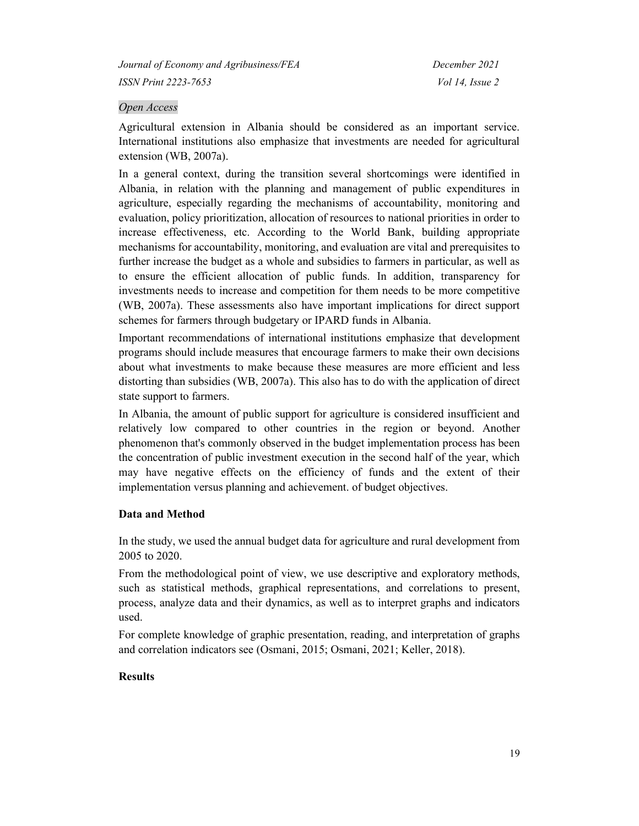# *Open Access*

Agricultural extension in Albania should be considered as an important service. International institutions also emphasize that investments are needed for agricultural extension (WB, 2007a).

In a general context, during the transition several shortcomings were identified in Albania, in relation with the planning and management of public expenditures in agriculture, especially regarding the mechanisms of accountability, monitoring and evaluation, policy prioritization, allocation of resources to national priorities in order to increase effectiveness, etc. According to the World Bank, building appropriate mechanisms for accountability, monitoring, and evaluation are vital and prerequisites to further increase the budget as a whole and subsidies to farmers in particular, as well as to ensure the efficient allocation of public funds. In addition, transparency for investments needs to increase and competition for them needs to be more competitive (WB, 2007a). These assessments also have important implications for direct support schemes for farmers through budgetary or IPARD funds in Albania.

Important recommendations of international institutions emphasize that development programs should include measures that encourage farmers to make their own decisions about what investments to make because these measures are more efficient and less distorting than subsidies (WB, 2007a). This also has to do with the application of direct state support to farmers.

In Albania, the amount of public support for agriculture is considered insufficient and relatively low compared to other countries in the region or beyond. Another phenomenon that's commonly observed in the budget implementation process has been the concentration of public investment execution in the second half of the year, which may have negative effects on the efficiency of funds and the extent of their implementation versus planning and achievement. of budget objectives.

#### **Data and Method**

In the study, we used the annual budget data for agriculture and rural development from 2005 to 2020.

From the methodological point of view, we use descriptive and exploratory methods, such as statistical methods, graphical representations, and correlations to present, process, analyze data and their dynamics, as well as to interpret graphs and indicators used.

For complete knowledge of graphic presentation, reading, and interpretation of graphs and correlation indicators see (Osmani, 2015; Osmani, 2021; Keller, 2018).

#### **Results**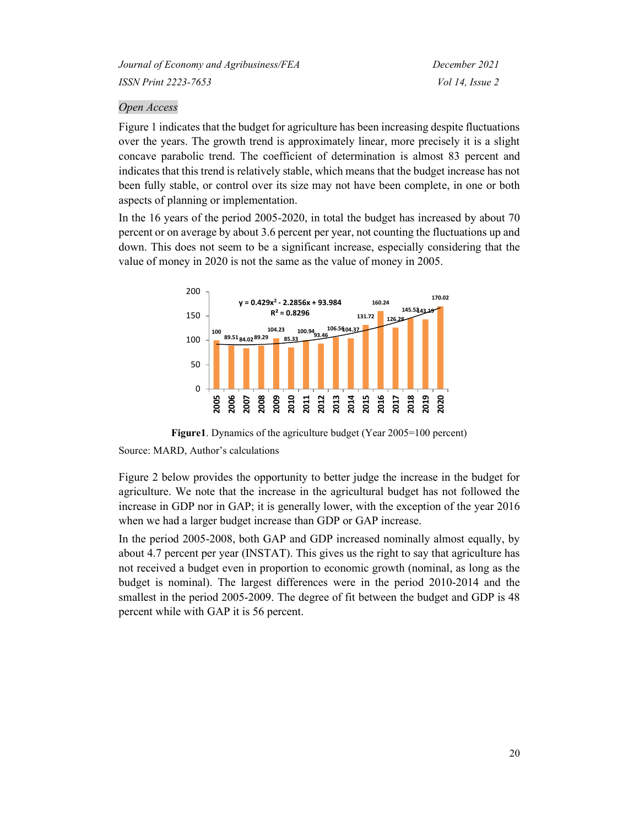# *Open Access*

Figure 1 indicates that the budget for agriculture has been increasing despite fluctuations over the years. The growth trend is approximately linear, more precisely it is a slight concave parabolic trend. The coefficient of determination is almost 83 percent and indicates that this trend is relatively stable, which means that the budget increase has not been fully stable, or control over its size may not have been complete, in one or both aspects of planning or implementation.

In the 16 years of the period 2005-2020, in total the budget has increased by about 70 percent or on average by about 3.6 percent per year, not counting the fluctuations up and down. This does not seem to be a significant increase, especially considering that the value of money in 2020 is not the same as the value of money in 2005.



**Figure1**. Dynamics of the agriculture budget (Year 2005=100 percent)

Figure 2 below provides the opportunity to better judge the increase in the budget for agriculture. We note that the increase in the agricultural budget has not followed the increase in GDP nor in GAP; it is generally lower, with the exception of the year 2016 when we had a larger budget increase than GDP or GAP increase.

In the period 2005-2008, both GAP and GDP increased nominally almost equally, by about 4.7 percent per year (INSTAT). This gives us the right to say that agriculture has not received a budget even in proportion to economic growth (nominal, as long as the budget is nominal). The largest differences were in the period 2010-2014 and the smallest in the period 2005-2009. The degree of fit between the budget and GDP is 48 percent while with GAP it is 56 percent.

Source: MARD, Author's calculations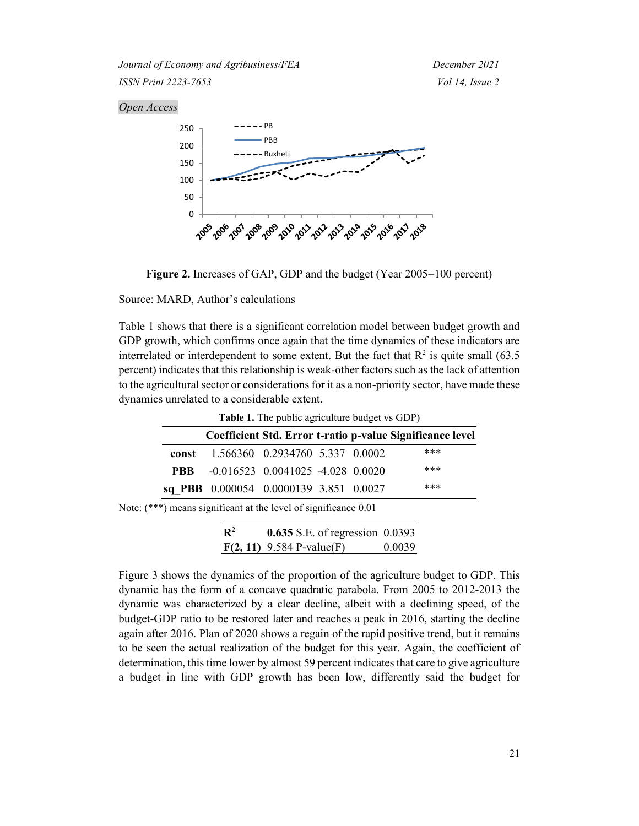#### *Open Access*





Source: MARD, Author's calculations

Table 1 shows that there is a significant correlation model between budget growth and GDP growth, which confirms once again that the time dynamics of these indicators are interrelated or interdependent to some extent. But the fact that  $\mathbb{R}^2$  is quite small (63.5) percent) indicates that this relationship is weak-other factors such as the lack of attention to the agricultural sector or considerations for it as a non-priority sector, have made these dynamics unrelated to a considerable extent.

| Table 1. The public agriculture budget vs GDP) |  |                                        |  |  |                                                           |  |  |
|------------------------------------------------|--|----------------------------------------|--|--|-----------------------------------------------------------|--|--|
|                                                |  |                                        |  |  | Coefficient Std. Error t-ratio p-value Significance level |  |  |
|                                                |  | const 1.566360 0.2934760 5.337 0.0002  |  |  | ***                                                       |  |  |
| <b>PRR</b>                                     |  | $-0.016523$ 0.0041025 $-4.028$ 0.0020  |  |  | ***                                                       |  |  |
|                                                |  | sq PBB 0.000054 0.0000139 3.851 0.0027 |  |  | ***                                                       |  |  |

Note: (\*\*\*) means significant at the level of significance 0.01

| $\mathbf{R}^2$ | <b>0.635</b> S.E. of regression 0.0393 |        |
|----------------|----------------------------------------|--------|
|                | $F(2, 11)$ 9.584 P-value(F)            | 0.0039 |

Figure 3 shows the dynamics of the proportion of the agriculture budget to GDP. This dynamic has the form of a concave quadratic parabola. From 2005 to 2012-2013 the dynamic was characterized by a clear decline, albeit with a declining speed, of the budget-GDP ratio to be restored later and reaches a peak in 2016, starting the decline again after 2016. Plan of 2020 shows a regain of the rapid positive trend, but it remains to be seen the actual realization of the budget for this year. Again, the coefficient of determination, this time lower by almost 59 percent indicates that care to give agriculture a budget in line with GDP growth has been low, differently said the budget for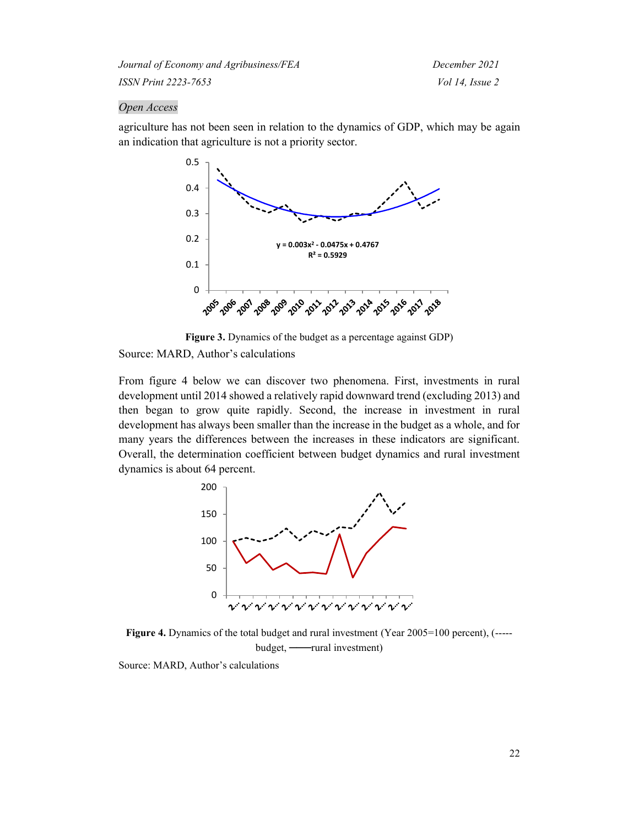#### *Open Access*

agriculture has not been seen in relation to the dynamics of GDP, which may be again an indication that agriculture is not a priority sector.



**Figure 3.** Dynamics of the budget as a percentage against GDP)

Source: MARD, Author's calculations

From figure 4 below we can discover two phenomena. First, investments in rural development until 2014 showed a relatively rapid downward trend (excluding 2013) and then began to grow quite rapidly. Second, the increase in investment in rural development has always been smaller than the increase in the budget as a whole, and for many years the differences between the increases in these indicators are significant. Overall, the determination coefficient between budget dynamics and rural investment dynamics is about 64 percent.



**Figure 4.** Dynamics of the total budget and rural investment (Year 2005=100 percent), (----budget, ───rural investment)

Source: MARD, Author's calculations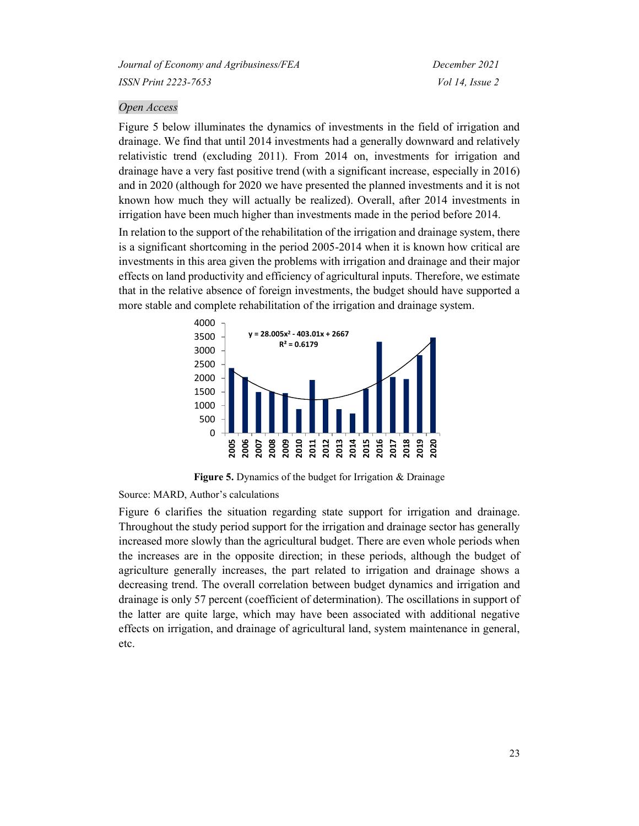#### *Open Access*

Figure 5 below illuminates the dynamics of investments in the field of irrigation and drainage. We find that until 2014 investments had a generally downward and relatively relativistic trend (excluding 2011). From 2014 on, investments for irrigation and drainage have a very fast positive trend (with a significant increase, especially in 2016) and in 2020 (although for 2020 we have presented the planned investments and it is not known how much they will actually be realized). Overall, after 2014 investments in irrigation have been much higher than investments made in the period before 2014.

In relation to the support of the rehabilitation of the irrigation and drainage system, there is a significant shortcoming in the period 2005-2014 when it is known how critical are investments in this area given the problems with irrigation and drainage and their major effects on land productivity and efficiency of agricultural inputs. Therefore, we estimate that in the relative absence of foreign investments, the budget should have supported a more stable and complete rehabilitation of the irrigation and drainage system.



**Figure 5.** Dynamics of the budget for Irrigation & Drainage

#### Source: MARD, Author's calculations

Figure 6 clarifies the situation regarding state support for irrigation and drainage. Throughout the study period support for the irrigation and drainage sector has generally increased more slowly than the agricultural budget. There are even whole periods when the increases are in the opposite direction; in these periods, although the budget of agriculture generally increases, the part related to irrigation and drainage shows a decreasing trend. The overall correlation between budget dynamics and irrigation and drainage is only 57 percent (coefficient of determination). The oscillations in support of the latter are quite large, which may have been associated with additional negative effects on irrigation, and drainage of agricultural land, system maintenance in general, etc.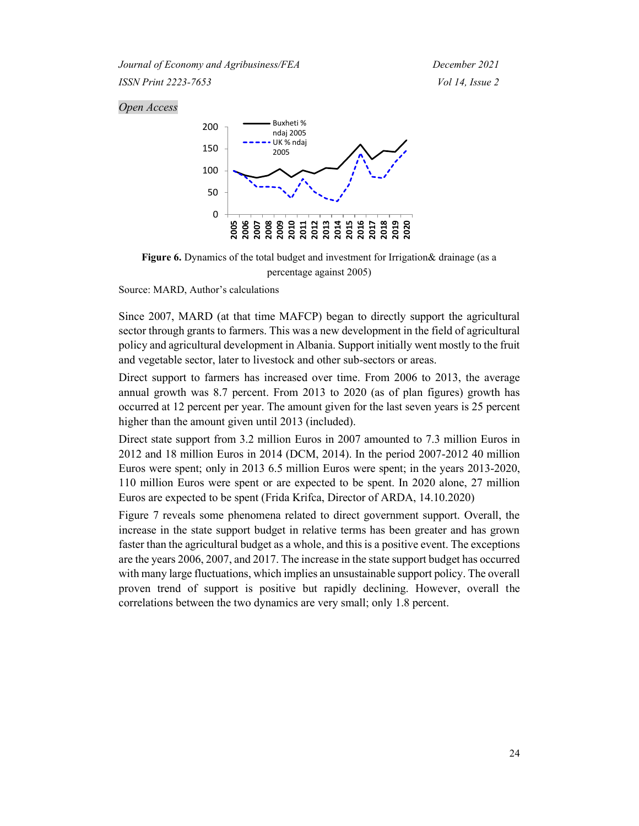### *Open Access*



Figure 6. Dynamics of the total budget and investment for Irrigation& drainage (as a percentage against 2005)

Source: MARD, Author's calculations

Since 2007, MARD (at that time MAFCP) began to directly support the agricultural sector through grants to farmers. This was a new development in the field of agricultural policy and agricultural development in Albania. Support initially went mostly to the fruit and vegetable sector, later to livestock and other sub-sectors or areas.

Direct support to farmers has increased over time. From 2006 to 2013, the average annual growth was 8.7 percent. From 2013 to 2020 (as of plan figures) growth has occurred at 12 percent per year. The amount given for the last seven years is 25 percent higher than the amount given until 2013 (included).

Direct state support from 3.2 million Euros in 2007 amounted to 7.3 million Euros in 2012 and 18 million Euros in 2014 (DCM, 2014). In the period 2007-2012 40 million Euros were spent; only in 2013 6.5 million Euros were spent; in the years 2013-2020, 110 million Euros were spent or are expected to be spent. In 2020 alone, 27 million Euros are expected to be spent (Frida Krifca, Director of ARDA, 14.10.2020)

Figure 7 reveals some phenomena related to direct government support. Overall, the increase in the state support budget in relative terms has been greater and has grown faster than the agricultural budget as a whole, and this is a positive event. The exceptions are the years 2006, 2007, and 2017. The increase in the state support budget has occurred with many large fluctuations, which implies an unsustainable support policy. The overall proven trend of support is positive but rapidly declining. However, overall the correlations between the two dynamics are very small; only 1.8 percent.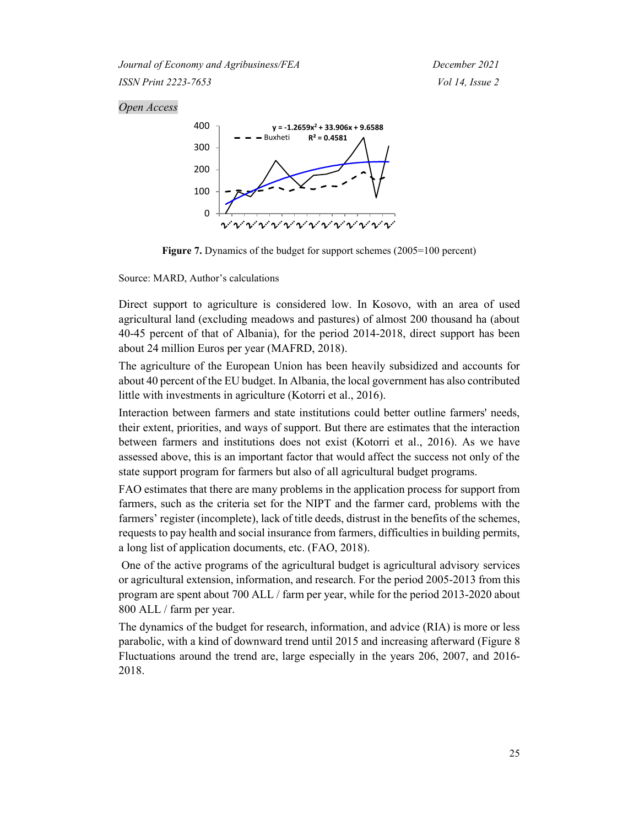#### *Open Access*



**Figure 7.** Dynamics of the budget for support schemes (2005=100 percent)

Source: MARD, Author's calculations

Direct support to agriculture is considered low. In Kosovo, with an area of used agricultural land (excluding meadows and pastures) of almost 200 thousand ha (about 40-45 percent of that of Albania), for the period 2014-2018, direct support has been about 24 million Euros per year (MAFRD, 2018).

The agriculture of the European Union has been heavily subsidized and accounts for about 40 percent of the EU budget. In Albania, the local government has also contributed little with investments in agriculture (Kotorri et al., 2016).

Interaction between farmers and state institutions could better outline farmers' needs, their extent, priorities, and ways of support. But there are estimates that the interaction between farmers and institutions does not exist (Kotorri et al., 2016). As we have assessed above, this is an important factor that would affect the success not only of the state support program for farmers but also of all agricultural budget programs.

FAO estimates that there are many problems in the application process for support from farmers, such as the criteria set for the NIPT and the farmer card, problems with the farmers' register (incomplete), lack of title deeds, distrust in the benefits of the schemes, requests to pay health and social insurance from farmers, difficulties in building permits, a long list of application documents, etc. (FAO, 2018).

One of the active programs of the agricultural budget is agricultural advisory services or agricultural extension, information, and research. For the period 2005-2013 from this program are spent about 700 ALL / farm per year, while for the period 2013-2020 about 800 ALL / farm per year.

The dynamics of the budget for research, information, and advice (RIA) is more or less parabolic, with a kind of downward trend until 2015 and increasing afterward (Figure 8 Fluctuations around the trend are, large especially in the years 206, 2007, and 2016- 2018.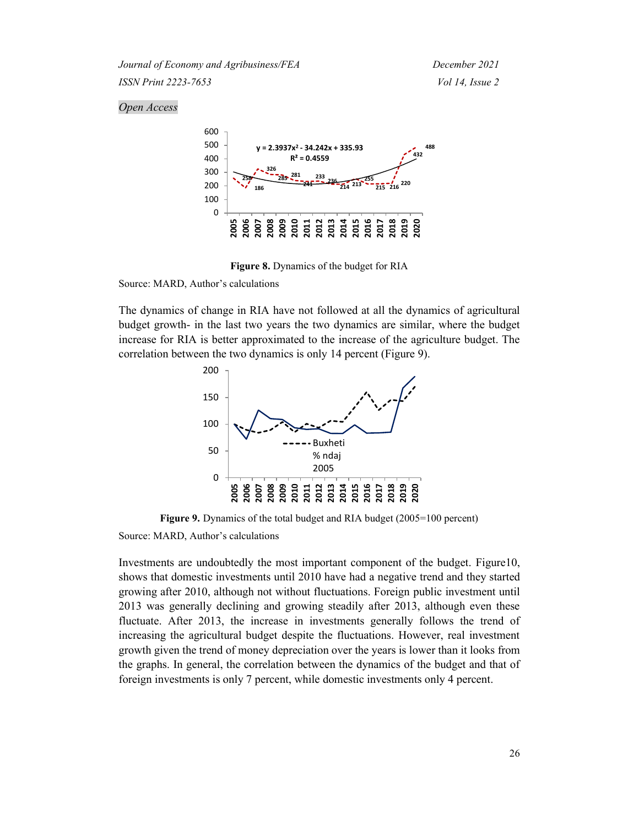# *Open Access*



**Figure 8.** Dynamics of the budget for RIA

Source: MARD, Author's calculations

The dynamics of change in RIA have not followed at all the dynamics of agricultural budget growth- in the last two years the two dynamics are similar, where the budget increase for RIA is better approximated to the increase of the agriculture budget. The correlation between the two dynamics is only 14 percent (Figure 9).



**Figure 9.** Dynamics of the total budget and RIA budget (2005=100 percent)

Source: MARD, Author's calculations

Investments are undoubtedly the most important component of the budget. Figure10, shows that domestic investments until 2010 have had a negative trend and they started growing after 2010, although not without fluctuations. Foreign public investment until 2013 was generally declining and growing steadily after 2013, although even these fluctuate. After 2013, the increase in investments generally follows the trend of increasing the agricultural budget despite the fluctuations. However, real investment growth given the trend of money depreciation over the years is lower than it looks from the graphs. In general, the correlation between the dynamics of the budget and that of foreign investments is only 7 percent, while domestic investments only 4 percent.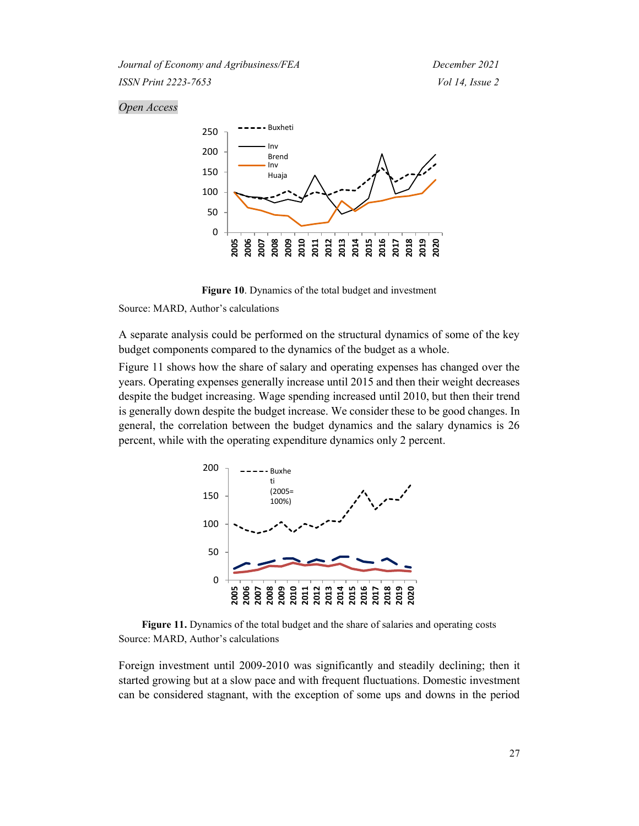#### *Open Access*



**Figure 10**. Dynamics of the total budget and investment

Source: MARD, Author's calculations

A separate analysis could be performed on the structural dynamics of some of the key budget components compared to the dynamics of the budget as a whole.

Figure 11 shows how the share of salary and operating expenses has changed over the years. Operating expenses generally increase until 2015 and then their weight decreases despite the budget increasing. Wage spending increased until 2010, but then their trend is generally down despite the budget increase. We consider these to be good changes. In general, the correlation between the budget dynamics and the salary dynamics is 26 percent, while with the operating expenditure dynamics only 2 percent.



**Figure 11.** Dynamics of the total budget and the share of salaries and operating costs Source: MARD, Author's calculations

Foreign investment until 2009-2010 was significantly and steadily declining; then it started growing but at a slow pace and with frequent fluctuations. Domestic investment can be considered stagnant, with the exception of some ups and downs in the period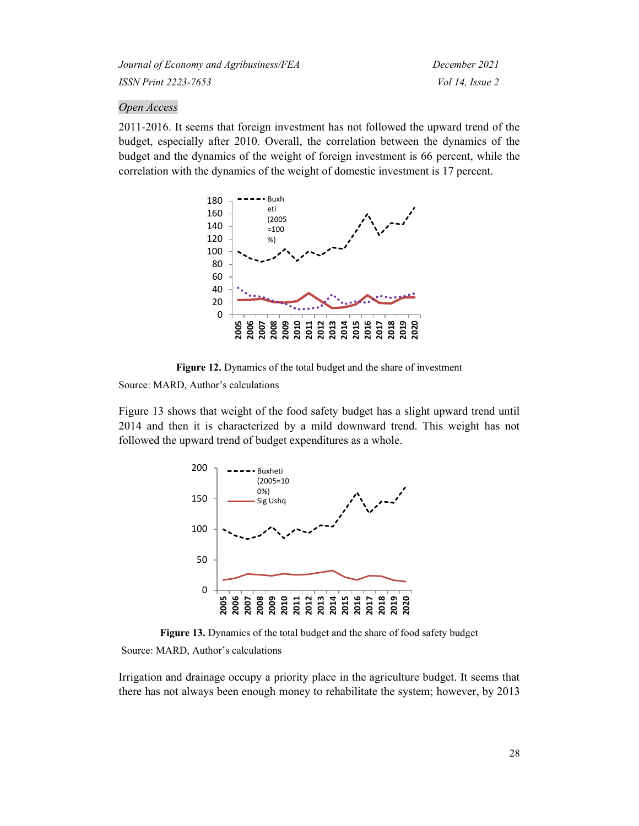### *Open Access*

2011-2016. It seems that foreign investment has not followed the upward trend of the budget, especially after 2010. Overall, the correlation between the dynamics of the budget and the dynamics of the weight of foreign investment is 66 percent, while the correlation with the dynamics of the weight of domestic investment is 17 percent.



**Figure 12.** Dynamics of the total budget and the share of investment

Source: MARD, Author's calculations

Figure 13 shows that weight of the food safety budget has a slight upward trend until 2014 and then it is characterized by a mild downward trend. This weight has not followed the upward trend of budget expenditures as a whole.



**Figure 13.** Dynamics of the total budget and the share of food safety budget

#### Source: MARD, Author's calculations

Irrigation and drainage occupy a priority place in the agriculture budget. It seems that there has not always been enough money to rehabilitate the system; however, by 2013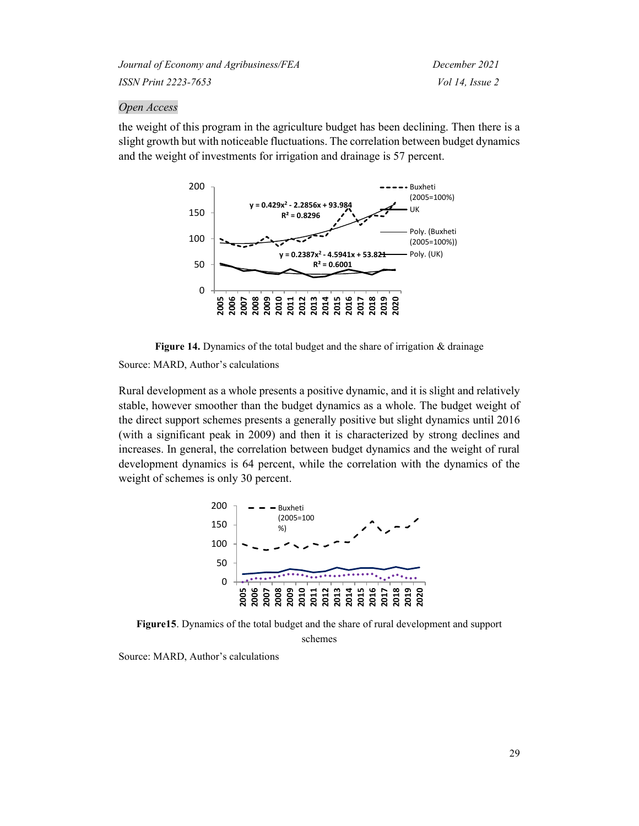#### *Open Access*

the weight of this program in the agriculture budget has been declining. Then there is a slight growth but with noticeable fluctuations. The correlation between budget dynamics and the weight of investments for irrigation and drainage is 57 percent.



**Figure 14.** Dynamics of the total budget and the share of irrigation & drainage Source: MARD, Author's calculations

Rural development as a whole presents a positive dynamic, and it is slight and relatively stable, however smoother than the budget dynamics as a whole. The budget weight of the direct support schemes presents a generally positive but slight dynamics until 2016 (with a significant peak in 2009) and then it is characterized by strong declines and increases. In general, the correlation between budget dynamics and the weight of rural development dynamics is 64 percent, while the correlation with the dynamics of the weight of schemes is only 30 percent.



**Figure15**. Dynamics of the total budget and the share of rural development and support schemes

Source: MARD, Author's calculations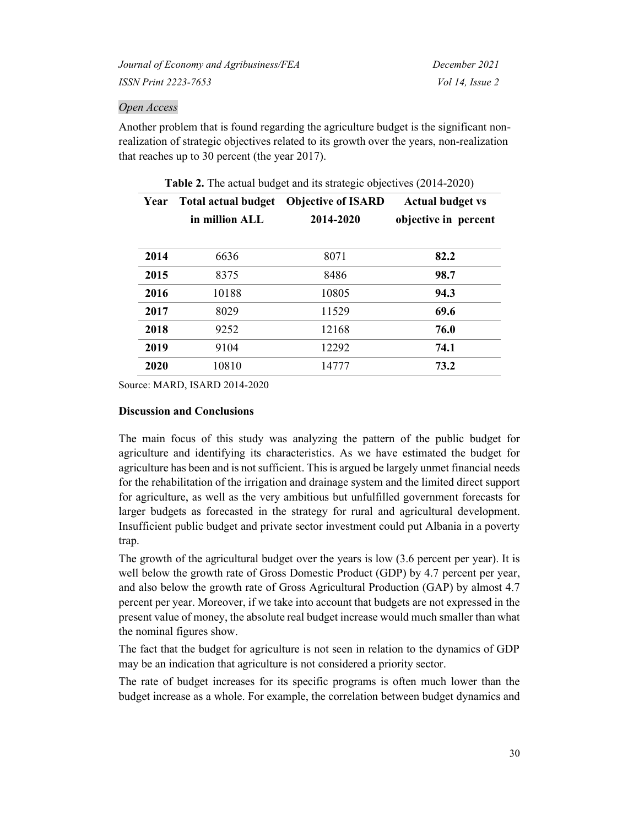### *Open Access*

Another problem that is found regarding the agriculture budget is the significant nonrealization of strategic objectives related to its growth over the years, non-realization that reaches up to 30 percent (the year 2017).

| Year | <b>Total actual budget</b><br>in million ALL | <b>Objective of ISARD</b><br>2014-2020 | <b>Actual budget vs</b><br>objective in percent |
|------|----------------------------------------------|----------------------------------------|-------------------------------------------------|
| 2014 | 6636                                         | 8071                                   | 82.2                                            |
| 2015 | 8375                                         | 8486                                   | 98.7                                            |
| 2016 | 10188                                        | 10805                                  | 94.3                                            |
| 2017 | 8029                                         | 11529                                  | 69.6                                            |
| 2018 | 9252                                         | 12168                                  | 76.0                                            |
| 2019 | 9104                                         | 12292                                  | 74.1                                            |
| 2020 | 10810                                        | 14777                                  | 73.2                                            |

**Table 2.** The actual budget and its strategic objectives (2014-2020)

Source: MARD, ISARD 2014-2020

### **Discussion and Conclusions**

The main focus of this study was analyzing the pattern of the public budget for agriculture and identifying its characteristics. As we have estimated the budget for agriculture has been and is not sufficient. This is argued be largely unmet financial needs for the rehabilitation of the irrigation and drainage system and the limited direct support for agriculture, as well as the very ambitious but unfulfilled government forecasts for larger budgets as forecasted in the strategy for rural and agricultural development. Insufficient public budget and private sector investment could put Albania in a poverty trap.

The growth of the agricultural budget over the years is low (3.6 percent per year). It is well below the growth rate of Gross Domestic Product (GDP) by 4.7 percent per year, and also below the growth rate of Gross Agricultural Production (GAP) by almost 4.7 percent per year. Moreover, if we take into account that budgets are not expressed in the present value of money, the absolute real budget increase would much smaller than what the nominal figures show.

The fact that the budget for agriculture is not seen in relation to the dynamics of GDP may be an indication that agriculture is not considered a priority sector.

The rate of budget increases for its specific programs is often much lower than the budget increase as a whole. For example, the correlation between budget dynamics and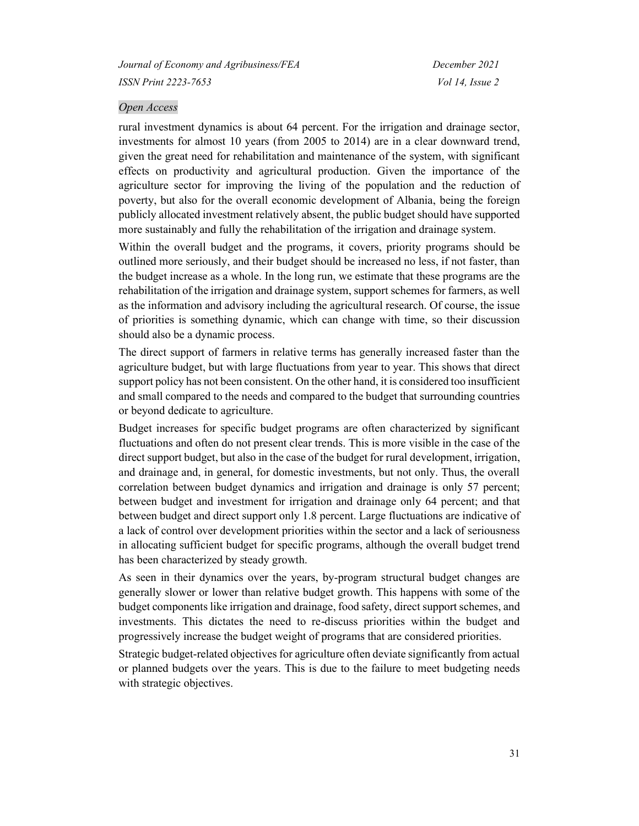#### *Open Access*

rural investment dynamics is about 64 percent. For the irrigation and drainage sector, investments for almost 10 years (from 2005 to 2014) are in a clear downward trend, given the great need for rehabilitation and maintenance of the system, with significant effects on productivity and agricultural production. Given the importance of the agriculture sector for improving the living of the population and the reduction of poverty, but also for the overall economic development of Albania, being the foreign publicly allocated investment relatively absent, the public budget should have supported more sustainably and fully the rehabilitation of the irrigation and drainage system.

Within the overall budget and the programs, it covers, priority programs should be outlined more seriously, and their budget should be increased no less, if not faster, than the budget increase as a whole. In the long run, we estimate that these programs are the rehabilitation of the irrigation and drainage system, support schemes for farmers, as well as the information and advisory including the agricultural research. Of course, the issue of priorities is something dynamic, which can change with time, so their discussion should also be a dynamic process.

The direct support of farmers in relative terms has generally increased faster than the agriculture budget, but with large fluctuations from year to year. This shows that direct support policy has not been consistent. On the other hand, it is considered too insufficient and small compared to the needs and compared to the budget that surrounding countries or beyond dedicate to agriculture.

Budget increases for specific budget programs are often characterized by significant fluctuations and often do not present clear trends. This is more visible in the case of the direct support budget, but also in the case of the budget for rural development, irrigation, and drainage and, in general, for domestic investments, but not only. Thus, the overall correlation between budget dynamics and irrigation and drainage is only 57 percent; between budget and investment for irrigation and drainage only 64 percent; and that between budget and direct support only 1.8 percent. Large fluctuations are indicative of a lack of control over development priorities within the sector and a lack of seriousness in allocating sufficient budget for specific programs, although the overall budget trend has been characterized by steady growth.

As seen in their dynamics over the years, by-program structural budget changes are generally slower or lower than relative budget growth. This happens with some of the budget components like irrigation and drainage, food safety, direct support schemes, and investments. This dictates the need to re-discuss priorities within the budget and progressively increase the budget weight of programs that are considered priorities.

Strategic budget-related objectives for agriculture often deviate significantly from actual or planned budgets over the years. This is due to the failure to meet budgeting needs with strategic objectives.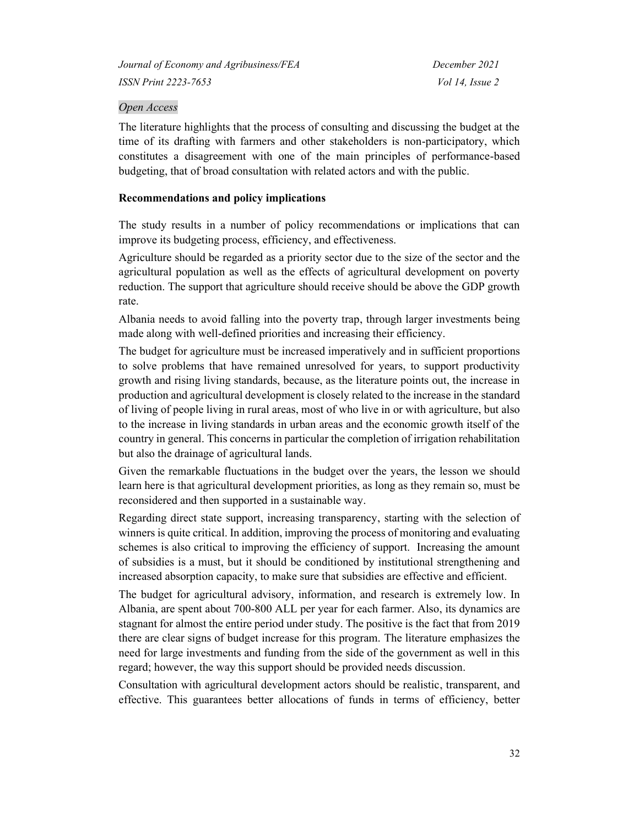# *Open Access*

The literature highlights that the process of consulting and discussing the budget at the time of its drafting with farmers and other stakeholders is non-participatory, which constitutes a disagreement with one of the main principles of performance-based budgeting, that of broad consultation with related actors and with the public.

# **Recommendations and policy implications**

The study results in a number of policy recommendations or implications that can improve its budgeting process, efficiency, and effectiveness.

Agriculture should be regarded as a priority sector due to the size of the sector and the agricultural population as well as the effects of agricultural development on poverty reduction. The support that agriculture should receive should be above the GDP growth rate.

Albania needs to avoid falling into the poverty trap, through larger investments being made along with well-defined priorities and increasing their efficiency.

The budget for agriculture must be increased imperatively and in sufficient proportions to solve problems that have remained unresolved for years, to support productivity growth and rising living standards, because, as the literature points out, the increase in production and agricultural development is closely related to the increase in the standard of living of people living in rural areas, most of who live in or with agriculture, but also to the increase in living standards in urban areas and the economic growth itself of the country in general. This concerns in particular the completion of irrigation rehabilitation but also the drainage of agricultural lands.

Given the remarkable fluctuations in the budget over the years, the lesson we should learn here is that agricultural development priorities, as long as they remain so, must be reconsidered and then supported in a sustainable way.

Regarding direct state support, increasing transparency, starting with the selection of winners is quite critical. In addition, improving the process of monitoring and evaluating schemes is also critical to improving the efficiency of support. Increasing the amount of subsidies is a must, but it should be conditioned by institutional strengthening and increased absorption capacity, to make sure that subsidies are effective and efficient.

The budget for agricultural advisory, information, and research is extremely low. In Albania, are spent about 700-800 ALL per year for each farmer. Also, its dynamics are stagnant for almost the entire period under study. The positive is the fact that from 2019 there are clear signs of budget increase for this program. The literature emphasizes the need for large investments and funding from the side of the government as well in this regard; however, the way this support should be provided needs discussion.

Consultation with agricultural development actors should be realistic, transparent, and effective. This guarantees better allocations of funds in terms of efficiency, better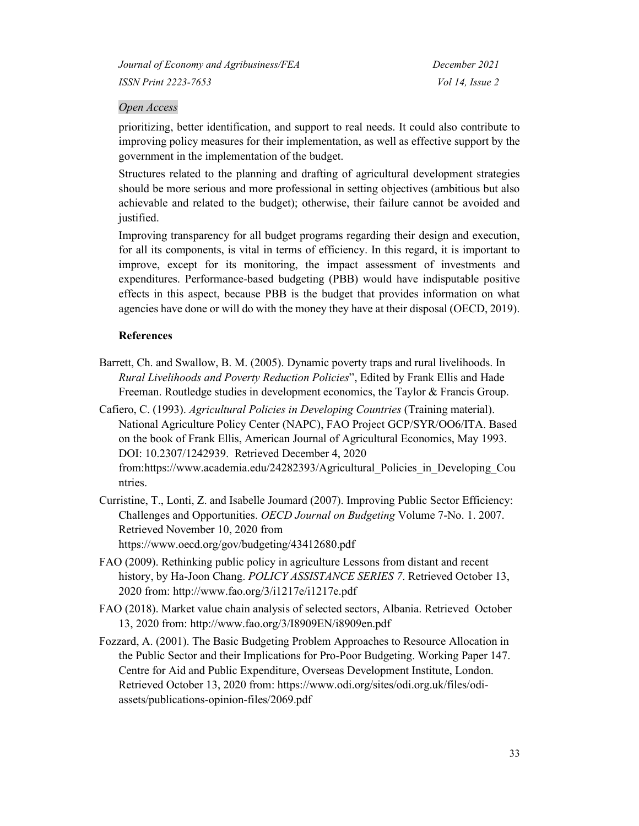# *Open Access*

prioritizing, better identification, and support to real needs. It could also contribute to improving policy measures for their implementation, as well as effective support by the government in the implementation of the budget.

Structures related to the planning and drafting of agricultural development strategies should be more serious and more professional in setting objectives (ambitious but also achievable and related to the budget); otherwise, their failure cannot be avoided and justified.

Improving transparency for all budget programs regarding their design and execution, for all its components, is vital in terms of efficiency. In this regard, it is important to improve, except for its monitoring, the impact assessment of investments and expenditures. Performance-based budgeting (PBB) would have indisputable positive effects in this aspect, because PBB is the budget that provides information on what agencies have done or will do with the money they have at their disposal (OECD, 2019).

# **References**

- Barrett, Ch. and Swallow, B. M. (2005). Dynamic poverty traps and rural livelihoods. In *Rural Livelihoods and Poverty Reduction Policies*", Edited by Frank Ellis and Hade Freeman. Routledge studies in development economics, the Taylor & Francis Group.
- Cafiero, C. (1993). *Agricultural Policies in Developing Countries* (Training material). National Agriculture Policy Center (NAPC), FAO Project GCP/SYR/OO6/ITA. Based on the book of Frank Ellis, American Journal of Agricultural Economics, May 1993. DOI: 10.2307/1242939. Retrieved December 4, 2020 from[:https://www.academia.edu/24282393/Agricultural\\_Policies\\_in\\_Developing\\_Cou](https://www.academia.edu/24282393/Agricultural_Policies_in_Developing_Countries) [ntries.](https://www.academia.edu/24282393/Agricultural_Policies_in_Developing_Countries)
- Curristine, T., Lonti, Z. and Isabelle Joumard (2007). Improving Public Sector Efficiency: Challenges and Opportunities. *OECD Journal on Budgeting* Volume 7-No. 1. 2007. Retrieved November 10, 2020 from https://www.oecd.org/gov/budgeting/43412680.pdf
- FAO (2009). Rethinking public policy in agriculture Lessons from distant and recent history, by Ha-Joon Chang. *POLICY ASSISTANCE SERIES 7*. Retrieved October 13, 2020 from: http://www.fao.org/3/i1217e/i1217e.pdf
- FAO (2018). Market value chain analysis of selected sectors, Albania. Retrieved October 13, 2020 from:<http://www.fao.org/3/I8909EN/i8909en.pdf>
- Fozzard, A. (2001). The Basic Budgeting Problem Approaches to Resource Allocation in the Public Sector and their Implications for Pro-Poor Budgeting. Working Paper 147. Centre for Aid and Public Expenditure, Overseas Development Institute, London. Retrieved October 13, 2020 from: https://www.odi.org/sites/odi.org.uk/files/odiassets/publications-opinion-files/2069.pdf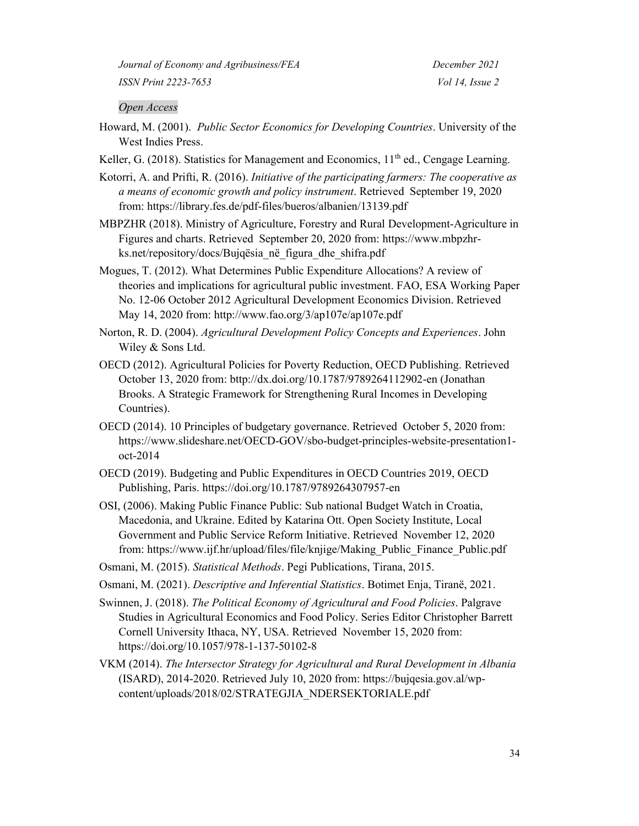#### *Open Access*

- Howard, M. (2001). *Public Sector Economics for Developing Countries*. University of the West Indies Press.
- Keller, G. (2018). Statistics for Management and Economics,  $11<sup>th</sup>$  ed., Cengage Learning.

Kotorri, A. and Prifti, R. (2016). *Initiative of the participating farmers: The cooperative as a means of economic growth and policy instrument*. Retrieved September 19, 2020 from:<https://library.fes.de/pdf-files/bueros/albanien/13139.pdf>

MBPZHR (2018). Ministry of Agriculture, Forestry and Rural Development-Agriculture in Figures and charts. Retrieved September 20, 2020 from: [https://www.mbpzhr](https://www.mbpzhr-ks.net/repository/docs/Bujqesia_ne_figura_dhe_shifra.pdf)[ks.net/repository/docs/Bujqësia\\_në\\_figura\\_dhe\\_shifra.pdf](https://www.mbpzhr-ks.net/repository/docs/Bujqesia_ne_figura_dhe_shifra.pdf)

Mogues, T. (2012). What Determines Public Expenditure Allocations? A review of theories and implications for agricultural public investment. FAO, ESA Working Paper No. 12-06 October 2012 Agricultural Development Economics Division. Retrieved May 14, 2020 from:<http://www.fao.org/3/ap107e/ap107e.pdf>

Norton, R. D. (2004). *Agricultural Development Policy Concepts and Experiences*. John Wiley & Sons Ltd.

- OECD (2012). Agricultural Policies for Poverty Reduction, OECD Publishing. Retrieved October 13, 2020 from: bttp://dx.doi.org/10.1787/9789264112902-en (Jonathan Brooks. A Strategic Framework for Strengthening Rural Incomes in Developing Countries).
- OECD (2014). 10 Principles of budgetary governance. Retrieved October 5, 2020 from: [https://www.slideshare.net/OECD-GOV/sbo-budget-principles-website-presentation1](https://www.slideshare.net/OECD-GOV/sbo-budget-principles-website-presentation1-oct-2014) [oct-2014](https://www.slideshare.net/OECD-GOV/sbo-budget-principles-website-presentation1-oct-2014)
- OECD (2019). Budgeting and Public Expenditures in OECD Countries 2019, OECD Publishing, Paris.<https://doi.org/10.1787/9789264307957-en>
- OSI, (2006). Making Public Finance Public: Sub national Budget Watch in Croatia, Macedonia, and Ukraine. Edited by Katarina Ott. Open Society Institute, Local Government and Public Service Reform Initiative. Retrieved November 12, 2020 from: [https://www.ijf.hr/upload/files/file/knjige/Making\\_Public\\_Finance\\_Public.pdf](https://www.ijf.hr/upload/files/file/knjige/Making_Public_Finance_Public.pdf)
- Osmani, M. (2015). *Statistical Methods*. Pegi Publications, Tirana, 2015.
- Osmani, M. (2021). *Descriptive and Inferential Statistics*. Botimet Enja, Tiranë, 2021.

Swinnen, J. (2018). *The Political Economy of Agricultural and Food Policies*. Palgrave Studies in Agricultural Economics and Food Policy. Series Editor Christopher Barrett Cornell University Ithaca, NY, USA. Retrieved November 15, 2020 from: <https://doi.org/10.1057/978-1-137-50102-8>

VKM (2014). *The Intersector Strategy for Agricultural and Rural Development in Albania* (ISARD), 2014-2020. Retrieved July 10, 2020 from: https://bujqesia.gov.al/wpcontent/uploads/2018/02/STRATEGJIA\_NDERSEKTORIALE.pdf